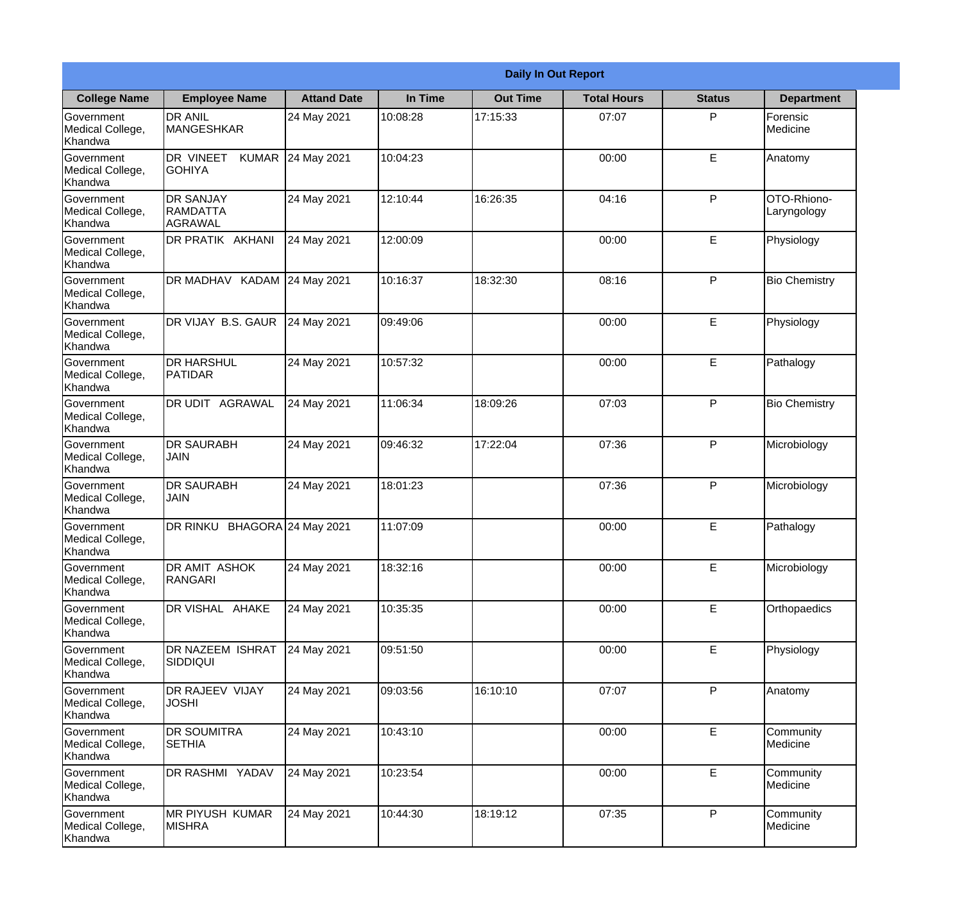|                                                  | <b>Daily In Out Report</b>                      |                    |          |                 |                    |               |                            |  |
|--------------------------------------------------|-------------------------------------------------|--------------------|----------|-----------------|--------------------|---------------|----------------------------|--|
| <b>College Name</b>                              | <b>Employee Name</b>                            | <b>Attand Date</b> | In Time  | <b>Out Time</b> | <b>Total Hours</b> | <b>Status</b> | <b>Department</b>          |  |
| Government<br>Medical College,<br>Khandwa        | <b>DR ANIL</b><br><b>MANGESHKAR</b>             | 24 May 2021        | 10:08:28 | 17:15:33        | 07:07              | P             | Forensic<br>Medicine       |  |
| Government<br>Medical College,<br>Khandwa        | DR VINEET<br><b>KUMAR</b><br><b>GOHIYA</b>      | 24 May 2021        | 10:04:23 |                 | 00:00              | E             | Anatomy                    |  |
| <b>Government</b><br>Medical College,<br>Khandwa | <b>DR SANJAY</b><br><b>IRAMDATTA</b><br>AGRAWAL | 24 May 2021        | 12:10:44 | 16:26:35        | 04:16              | P             | OTO-Rhiono-<br>Laryngology |  |
| <b>Government</b><br>Medical College,<br>Khandwa | DR PRATIK AKHANI                                | 24 May 2021        | 12:00:09 |                 | 00:00              | E             | Physiology                 |  |
| Government<br>Medical College,<br>Khandwa        | DR MADHAV KADAM 24 May 2021                     |                    | 10:16:37 | 18:32:30        | 08:16              | P             | <b>Bio Chemistry</b>       |  |
| Government<br>Medical College,<br>Khandwa        | DR VIJAY B.S. GAUR                              | 24 May 2021        | 09:49:06 |                 | 00:00              | $\mathsf E$   | Physiology                 |  |
| <b>Government</b><br>Medical College,<br>Khandwa | <b>DR HARSHUL</b><br><b>PATIDAR</b>             | 24 May 2021        | 10:57:32 |                 | 00:00              | E             | Pathalogy                  |  |
| <b>Government</b><br>Medical College,<br>Khandwa | <b>DR UDIT AGRAWAL</b>                          | 24 May 2021        | 11:06:34 | 18:09:26        | 07:03              | P             | <b>Bio Chemistry</b>       |  |
| Government<br>Medical College,<br>Khandwa        | <b>DR SAURABH</b><br><b>JAIN</b>                | 24 May 2021        | 09:46:32 | 17:22:04        | 07:36              | P             | Microbiology               |  |
| Government<br>Medical College,<br>Khandwa        | <b>DR SAURABH</b><br><b>JAIN</b>                | 24 May 2021        | 18:01:23 |                 | 07:36              | P             | Microbiology               |  |
| Government<br>Medical College,<br>Khandwa        | DR RINKU BHAGORA 24 May 2021                    |                    | 11:07:09 |                 | 00:00              | E             | Pathalogy                  |  |
| Government<br>Medical College,<br>Khandwa        | DR AMIT ASHOK<br>RANGARI                        | 24 May 2021        | 18:32:16 |                 | 00:00              | E             | Microbiology               |  |
| Government<br>Medical College,<br>Khandwa        | DR VISHAL AHAKE                                 | 24 May 2021        | 10:35:35 |                 | 00:00              | E             | Orthopaedics               |  |
| Government<br>Medical College,<br>Khandwa        | DR NAZEEM ISHRAT<br><b>SIDDIQUI</b>             | 24 May 2021        | 09:51:50 |                 | 00:00              | $\mathsf E$   | Physiology                 |  |
| Government<br>Medical College,<br>Khandwa        | <b>DR RAJEEV VIJAY</b><br><b>JOSHI</b>          | 24 May 2021        | 09:03:56 | 16:10:10        | 07:07              | $\mathsf{P}$  | Anatomy                    |  |
| Government<br>Medical College,<br>Khandwa        | <b>DR SOUMITRA</b><br><b>SETHIA</b>             | 24 May 2021        | 10:43:10 |                 | 00:00              | E             | Community<br>Medicine      |  |
| Government<br>Medical College,<br>Khandwa        | DR RASHMI YADAV                                 | 24 May 2021        | 10:23:54 |                 | 00:00              | E             | Community<br>Medicine      |  |
| Government<br>Medical College,<br>Khandwa        | MR PIYUSH KUMAR<br><b>MISHRA</b>                | 24 May 2021        | 10:44:30 | 18:19:12        | 07:35              | P             | Community<br>Medicine      |  |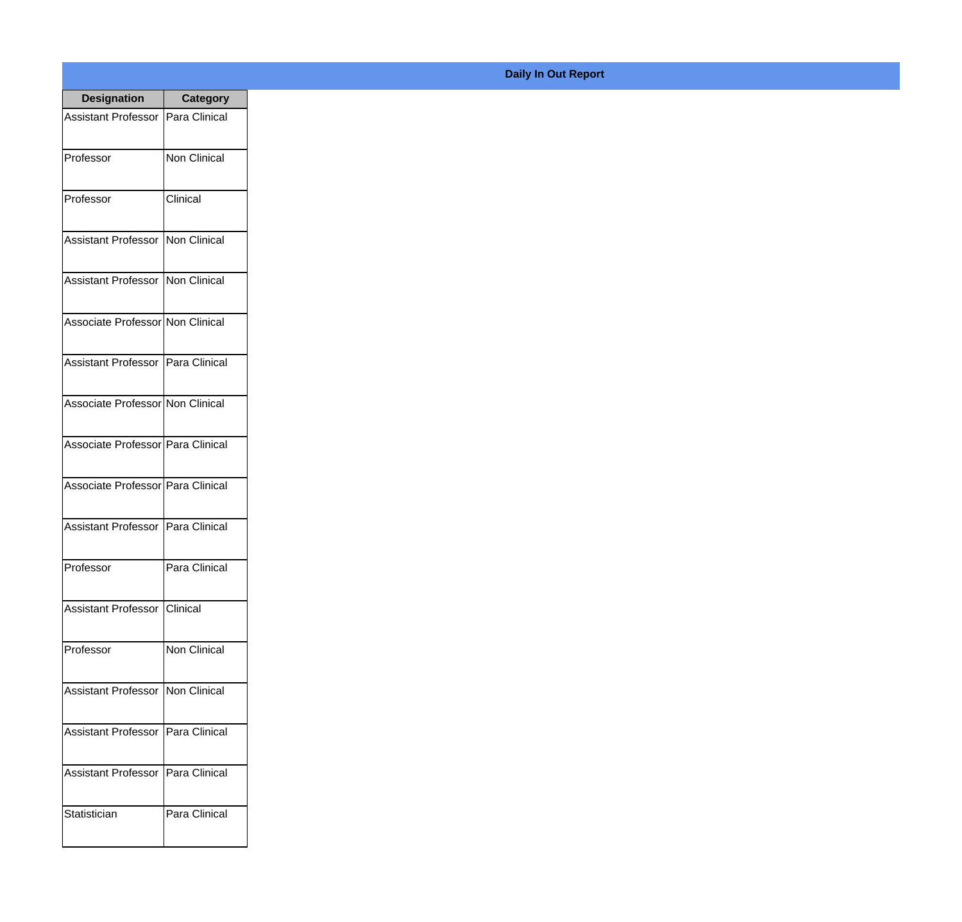| <b>Designation</b>                  | <b>Category</b>     |
|-------------------------------------|---------------------|
| Assistant Professor   Para Clinical |                     |
| Professor                           | Non Clinical        |
| Professor                           | Clinical            |
| Assistant Professor   Non Clinical  |                     |
| <b>Assistant Professor</b>          | Non Clinical        |
| Associate Professor Non Clinical    |                     |
| Assistant Professor   Para Clinical |                     |
| Associate Professor Non Clinical    |                     |
| Associate Professor Para Clinical   |                     |
| Associate Professor   Para Clinical |                     |
| Assistant Professor                 | Para Clinical       |
| Professor                           | Para Clinical       |
| <b>Assistant Professor</b>          | Clinical            |
| Professor                           | <b>Non Clinical</b> |
| <b>Assistant Professor</b>          | Non Clinical        |
| <b>Assistant Professor</b>          | Para Clinical       |
| <b>Assistant Professor</b>          | Para Clinical       |
| Statistician                        | Para Clinical       |

## **Daily In Out Report**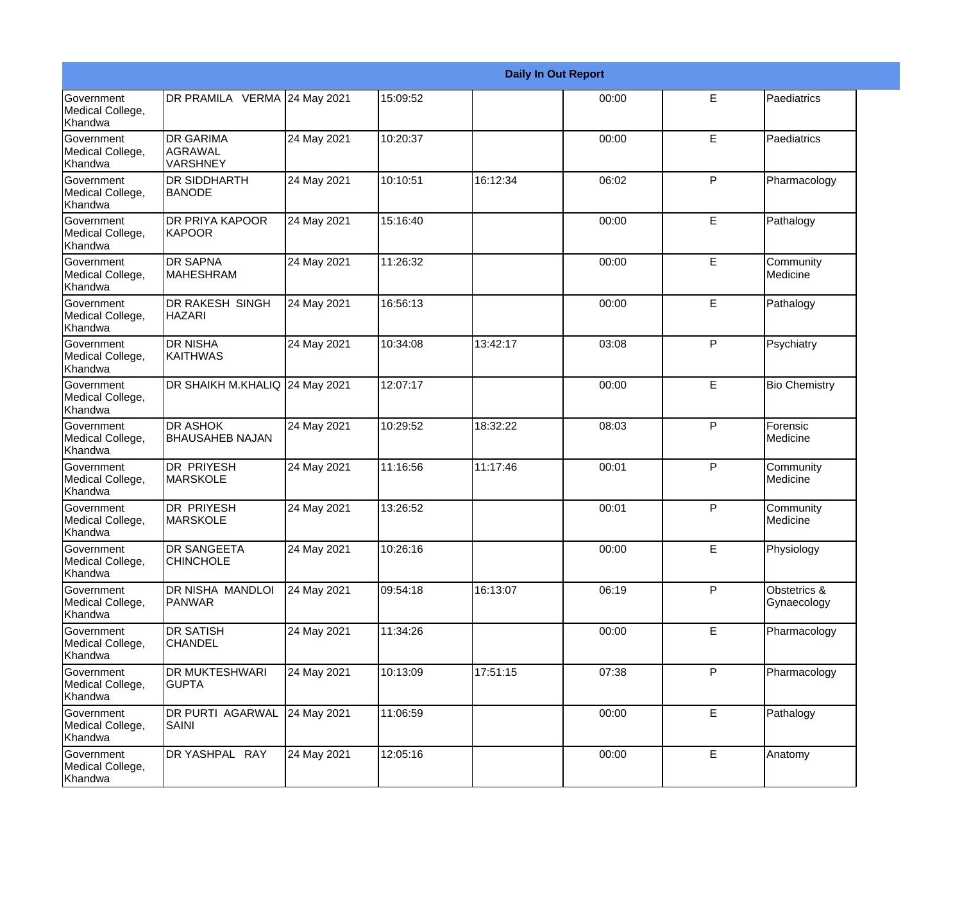|                                                  |                                                |             |          |          | <b>Daily In Out Report</b> |             |                             |
|--------------------------------------------------|------------------------------------------------|-------------|----------|----------|----------------------------|-------------|-----------------------------|
| Government<br>Medical College,<br>Khandwa        | DR PRAMILA VERMA 24 May 2021                   |             | 15:09:52 |          | 00:00                      | E           | Paediatrics                 |
| Government<br>Medical College,<br>Khandwa        | <b>DR GARIMA</b><br>AGRAWAL<br><b>VARSHNEY</b> | 24 May 2021 | 10:20:37 |          | 00:00                      | E           | Paediatrics                 |
| <b>Government</b><br>Medical College,<br>Khandwa | <b>DR SIDDHARTH</b><br><b>BANODE</b>           | 24 May 2021 | 10:10:51 | 16:12:34 | 06:02                      | P           | Pharmacology                |
| <b>Government</b><br>Medical College,<br>Khandwa | DR PRIYA KAPOOR<br>KAPOOR                      | 24 May 2021 | 15:16:40 |          | 00:00                      | E           | Pathalogy                   |
| Government<br>Medical College,<br>Khandwa        | <b>DR SAPNA</b><br><b>MAHESHRAM</b>            | 24 May 2021 | 11:26:32 |          | 00:00                      | E           | Community<br>Medicine       |
| Government<br>Medical College,<br>Khandwa        | <b>DR RAKESH SINGH</b><br><b>HAZARI</b>        | 24 May 2021 | 16:56:13 |          | 00:00                      | E           | Pathalogy                   |
| <b>Government</b><br>Medical College,<br>Khandwa | <b>DR NISHA</b><br>KAITHWAS                    | 24 May 2021 | 10:34:08 | 13:42:17 | 03:08                      | P           | Psychiatry                  |
| Government<br>Medical College,<br>Khandwa        | DR SHAIKH M.KHALIQ 24 May 2021                 |             | 12:07:17 |          | 00:00                      | E           | <b>Bio Chemistry</b>        |
| Government<br>Medical College,<br>Khandwa        | <b>DR ASHOK</b><br><b>BHAUSAHEB NAJAN</b>      | 24 May 2021 | 10:29:52 | 18:32:22 | 08:03                      | P           | Forensic<br>Medicine        |
| Government<br>Medical College,<br>Khandwa        | <b>DR PRIYESH</b><br><b>MARSKOLE</b>           | 24 May 2021 | 11:16:56 | 11:17:46 | 00:01                      | P           | Community<br>Medicine       |
| <b>Government</b><br>Medical College,<br>Khandwa | <b>DR PRIYESH</b><br><b>MARSKOLE</b>           | 24 May 2021 | 13:26:52 |          | 00:01                      | P           | Community<br>Medicine       |
| Government<br>Medical College,<br>Khandwa        | <b>DR SANGEETA</b><br><b>CHINCHOLE</b>         | 24 May 2021 | 10:26:16 |          | 00:00                      | E           | Physiology                  |
| Government<br>Medical College,<br>Khandwa        | DR NISHA MANDLOI<br><b>PANWAR</b>              | 24 May 2021 | 09:54:18 | 16:13:07 | 06:19                      | P           | Obstetrics &<br>Gynaecology |
| Government<br>Medical College,<br>Khandwa        | <b>DR SATISH</b><br><b>CHANDEL</b>             | 24 May 2021 | 11:34:26 |          | 00:00                      | E.          | Pharmacology                |
| Government<br>Medical College,<br>Khandwa        | <b>DR MUKTESHWARI</b><br><b>GUPTA</b>          | 24 May 2021 | 10:13:09 | 17:51:15 | 07:38                      | P           | Pharmacology                |
| Government<br>Medical College,<br>Khandwa        | DR PURTI AGARWAL<br>SAINI                      | 24 May 2021 | 11:06:59 |          | 00:00                      | E           | Pathalogy                   |
| Government<br>Medical College,<br>Khandwa        | DR YASHPAL RAY                                 | 24 May 2021 | 12:05:16 |          | 00:00                      | $\mathsf E$ | Anatomy                     |